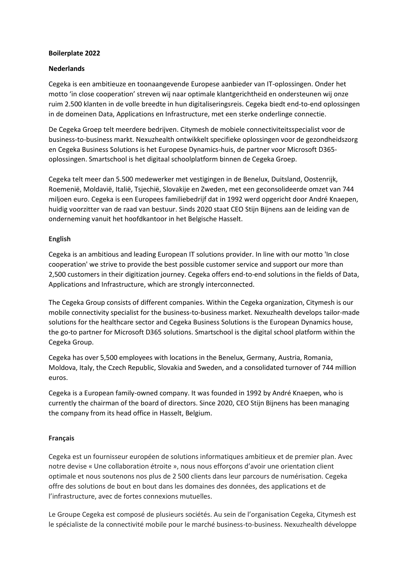## **Boilerplate 2022**

## **Nederlands**

Cegeka is een ambitieuze en toonaangevende Europese aanbieder van IT-oplossingen. Onder het motto 'in close cooperation' streven wij naar optimale klantgerichtheid en ondersteunen wij onze ruim 2.500 klanten in de volle breedte in hun digitaliseringsreis. Cegeka biedt end-to-end oplossingen in de domeinen Data, Applications en Infrastructure, met een sterke onderlinge connectie.

De Cegeka Groep telt meerdere bedrijven. Citymesh de mobiele connectiviteitsspecialist voor de business-to-business markt. Nexuzhealth ontwikkelt specifieke oplossingen voor de gezondheidszorg en Cegeka Business Solutions is het Europese Dynamics-huis, de partner voor Microsoft D365 oplossingen. Smartschool is het digitaal schoolplatform binnen de Cegeka Groep.

Cegeka telt meer dan 5.500 medewerker met vestigingen in de Benelux, Duitsland, Oostenrijk, Roemenië, Moldavië, Italië, Tsjechië, Slovakije en Zweden, met een geconsolideerde omzet van 744 miljoen euro. Cegeka is een Europees familiebedrijf dat in 1992 werd opgericht door André Knaepen, huidig voorzitter van de raad van bestuur. Sinds 2020 staat CEO Stijn Bijnens aan de leiding van de onderneming vanuit het hoofdkantoor in het Belgische Hasselt.

## **English**

Cegeka is an ambitious and leading European IT solutions provider. In line with our motto 'In close cooperation' we strive to provide the best possible customer service and support our more than 2,500 customers in their digitization journey. Cegeka offers end-to-end solutions in the fields of Data, Applications and Infrastructure, which are strongly interconnected.

The Cegeka Group consists of different companies. Within the Cegeka organization, Citymesh is our mobile connectivity specialist for the business-to-business market. Nexuzhealth develops tailor-made solutions for the healthcare sector and Cegeka Business Solutions is the European Dynamics house, the go-to partner for Microsoft D365 solutions. Smartschool is the digital school platform within the Cegeka Group.

Cegeka has over 5,500 employees with locations in the Benelux, Germany, Austria, Romania, Moldova, Italy, the Czech Republic, Slovakia and Sweden, and a consolidated turnover of 744 million euros.

Cegeka is a European family-owned company. It was founded in 1992 by André Knaepen, who is currently the chairman of the board of directors. Since 2020, CEO Stijn Bijnens has been managing the company from its head office in Hasselt, Belgium.

## **Français**

Cegeka est un fournisseur européen de solutions informatiques ambitieux et de premier plan. Avec notre devise « Une collaboration étroite », nous nous efforçons d'avoir une orientation client optimale et nous soutenons nos plus de 2 500 clients dans leur parcours de numérisation. Cegeka offre des solutions de bout en bout dans les domaines des données, des applications et de l'infrastructure, avec de fortes connexions mutuelles.

Le Groupe Cegeka est composé de plusieurs sociétés. Au sein de l'organisation Cegeka, Citymesh est le spécialiste de la connectivité mobile pour le marché business-to-business. Nexuzhealth développe